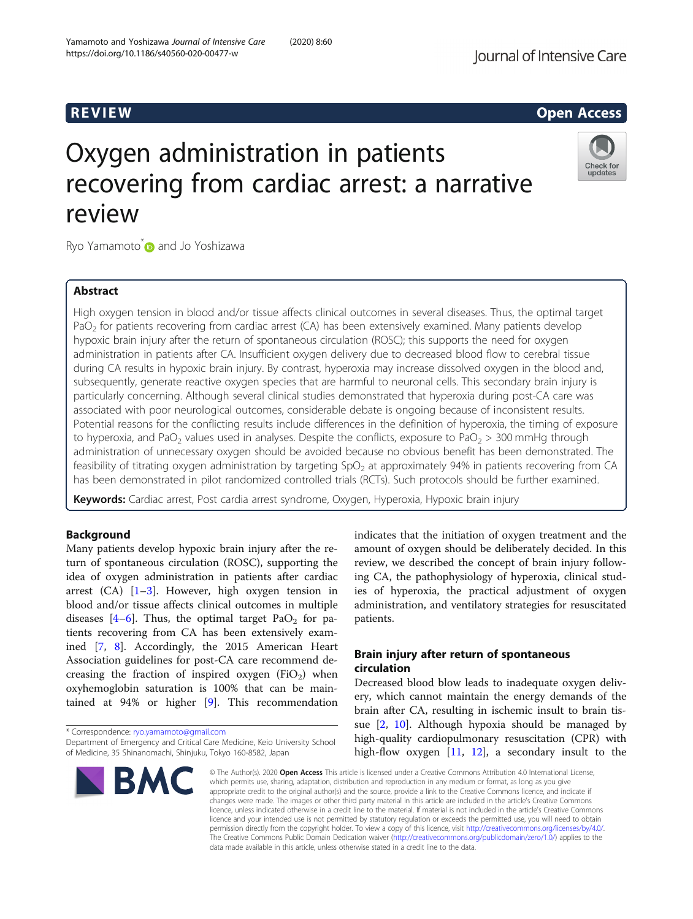## R EVI EW Open Access

# Oxygen administration in patients recovering from cardiac arrest: a narrative review



Ryo Yamamoto\* and Jo Yoshizawa

### Abstract

High oxygen tension in blood and/or tissue affects clinical outcomes in several diseases. Thus, the optimal target PaO<sub>2</sub> for patients recovering from cardiac arrest (CA) has been extensively examined. Many patients develop hypoxic brain injury after the return of spontaneous circulation (ROSC); this supports the need for oxygen administration in patients after CA. Insufficient oxygen delivery due to decreased blood flow to cerebral tissue during CA results in hypoxic brain injury. By contrast, hyperoxia may increase dissolved oxygen in the blood and, subsequently, generate reactive oxygen species that are harmful to neuronal cells. This secondary brain injury is particularly concerning. Although several clinical studies demonstrated that hyperoxia during post-CA care was associated with poor neurological outcomes, considerable debate is ongoing because of inconsistent results. Potential reasons for the conflicting results include differences in the definition of hyperoxia, the timing of exposure to hyperoxia, and PaO<sub>2</sub> values used in analyses. Despite the conflicts, exposure to PaO<sub>2</sub> > 300 mmHg through administration of unnecessary oxygen should be avoided because no obvious benefit has been demonstrated. The feasibility of titrating oxygen administration by targeting  $SpO<sub>2</sub>$  at approximately 94% in patients recovering from CA has been demonstrated in pilot randomized controlled trials (RCTs). Such protocols should be further examined.

Keywords: Cardiac arrest, Post cardia arrest syndrome, Oxygen, Hyperoxia, Hypoxic brain injury

### Background

Many patients develop hypoxic brain injury after the return of spontaneous circulation (ROSC), supporting the idea of oxygen administration in patients after cardiac arrest  $(CA)$   $[1-3]$  $[1-3]$  $[1-3]$  $[1-3]$ . However, high oxygen tension in blood and/or tissue affects clinical outcomes in multiple diseases  $[4-6]$  $[4-6]$  $[4-6]$ . Thus, the optimal target PaO<sub>2</sub> for patients recovering from CA has been extensively examined [\[7](#page-6-0), [8](#page-6-0)]. Accordingly, the 2015 American Heart Association guidelines for post-CA care recommend decreasing the fraction of inspired oxygen  $(FiO<sub>2</sub>)$  when oxyhemoglobin saturation is 100% that can be maintained at 94% or higher [[9\]](#page-6-0). This recommendation

\* Correspondence: [ryo.yamamoto@gmail.com](mailto:ryo.yamamoto@gmail.com)

Department of Emergency and Critical Care Medicine, Keio University School of Medicine, 35 Shinanomachi, Shinjuku, Tokyo 160-8582, Japan



indicates that the initiation of oxygen treatment and the amount of oxygen should be deliberately decided. In this review, we described the concept of brain injury following CA, the pathophysiology of hyperoxia, clinical studies of hyperoxia, the practical adjustment of oxygen administration, and ventilatory strategies for resuscitated patients.

### Brain injury after return of spontaneous circulation

Decreased blood blow leads to inadequate oxygen delivery, which cannot maintain the energy demands of the brain after CA, resulting in ischemic insult to brain tissue [[2,](#page-5-0) [10\]](#page-6-0). Although hypoxia should be managed by high-quality cardiopulmonary resuscitation (CPR) with high-flow oxygen [\[11](#page-6-0), [12\]](#page-6-0), a secondary insult to the

© The Author(s), 2020 **Open Access** This article is licensed under a Creative Commons Attribution 4.0 International License, which permits use, sharing, adaptation, distribution and reproduction in any medium or format, as long as you give appropriate credit to the original author(s) and the source, provide a link to the Creative Commons licence, and indicate if changes were made. The images or other third party material in this article are included in the article's Creative Commons licence, unless indicated otherwise in a credit line to the material. If material is not included in the article's Creative Commons licence and your intended use is not permitted by statutory regulation or exceeds the permitted use, you will need to obtain permission directly from the copyright holder. To view a copy of this licence, visit [http://creativecommons.org/licenses/by/4.0/.](http://creativecommons.org/licenses/by/4.0/) The Creative Commons Public Domain Dedication waiver [\(http://creativecommons.org/publicdomain/zero/1.0/](http://creativecommons.org/publicdomain/zero/1.0/)) applies to the data made available in this article, unless otherwise stated in a credit line to the data.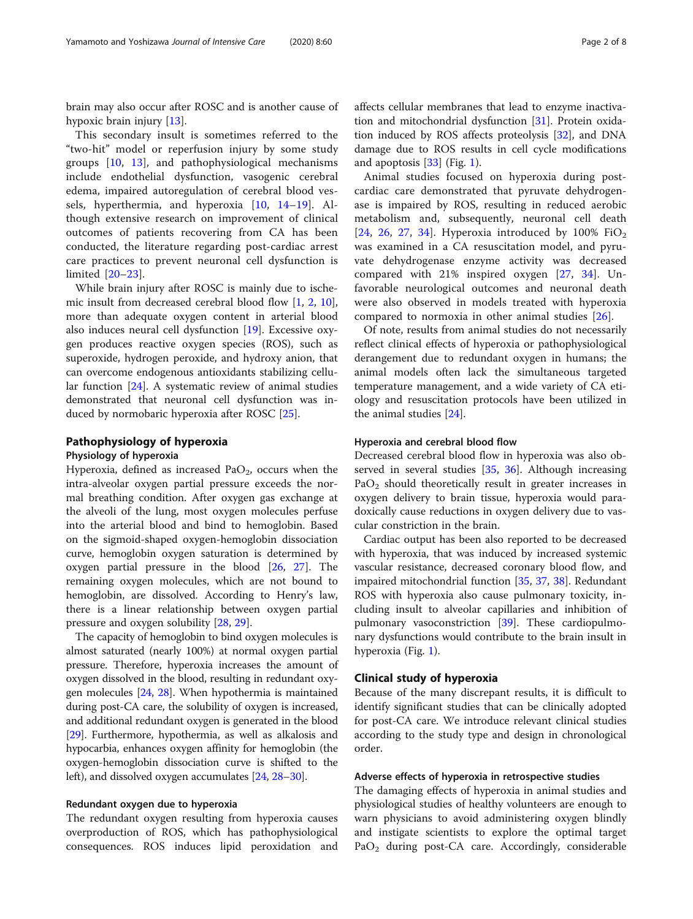brain may also occur after ROSC and is another cause of hypoxic brain injury [\[13](#page-6-0)].

This secondary insult is sometimes referred to the "two-hit" model or reperfusion injury by some study groups [\[10](#page-6-0), [13\]](#page-6-0), and pathophysiological mechanisms include endothelial dysfunction, vasogenic cerebral edema, impaired autoregulation of cerebral blood vessels, hyperthermia, and hyperoxia [\[10](#page-6-0), [14](#page-6-0)–[19\]](#page-6-0). Although extensive research on improvement of clinical outcomes of patients recovering from CA has been conducted, the literature regarding post-cardiac arrest care practices to prevent neuronal cell dysfunction is limited [\[20](#page-6-0)–[23](#page-6-0)].

While brain injury after ROSC is mainly due to ischemic insult from decreased cerebral blood flow [\[1](#page-5-0), [2,](#page-5-0) [10](#page-6-0)], more than adequate oxygen content in arterial blood also induces neural cell dysfunction [\[19\]](#page-6-0). Excessive oxygen produces reactive oxygen species (ROS), such as superoxide, hydrogen peroxide, and hydroxy anion, that can overcome endogenous antioxidants stabilizing cellular function [[24](#page-6-0)]. A systematic review of animal studies demonstrated that neuronal cell dysfunction was induced by normobaric hyperoxia after ROSC [[25\]](#page-6-0).

#### Pathophysiology of hyperoxia

#### Physiology of hyperoxia

Hyperoxia, defined as increased Pa $O<sub>2</sub>$ , occurs when the intra-alveolar oxygen partial pressure exceeds the normal breathing condition. After oxygen gas exchange at the alveoli of the lung, most oxygen molecules perfuse into the arterial blood and bind to hemoglobin. Based on the sigmoid-shaped oxygen-hemoglobin dissociation curve, hemoglobin oxygen saturation is determined by oxygen partial pressure in the blood [[26](#page-6-0), [27](#page-6-0)]. The remaining oxygen molecules, which are not bound to hemoglobin, are dissolved. According to Henry's law, there is a linear relationship between oxygen partial pressure and oxygen solubility [[28,](#page-6-0) [29\]](#page-6-0).

The capacity of hemoglobin to bind oxygen molecules is almost saturated (nearly 100%) at normal oxygen partial pressure. Therefore, hyperoxia increases the amount of oxygen dissolved in the blood, resulting in redundant oxygen molecules [[24](#page-6-0), [28](#page-6-0)]. When hypothermia is maintained during post-CA care, the solubility of oxygen is increased, and additional redundant oxygen is generated in the blood [[29](#page-6-0)]. Furthermore, hypothermia, as well as alkalosis and hypocarbia, enhances oxygen affinity for hemoglobin (the oxygen-hemoglobin dissociation curve is shifted to the left), and dissolved oxygen accumulates [\[24](#page-6-0), [28](#page-6-0)–[30\]](#page-6-0).

#### Redundant oxygen due to hyperoxia

The redundant oxygen resulting from hyperoxia causes overproduction of ROS, which has pathophysiological consequences. ROS induces lipid peroxidation and affects cellular membranes that lead to enzyme inactivation and mitochondrial dysfunction [\[31\]](#page-6-0). Protein oxidation induced by ROS affects proteolysis [[32\]](#page-6-0), and DNA damage due to ROS results in cell cycle modifications and apoptosis [\[33\]](#page-6-0) (Fig. [1\)](#page-2-0).

Animal studies focused on hyperoxia during postcardiac care demonstrated that pyruvate dehydrogenase is impaired by ROS, resulting in reduced aerobic metabolism and, subsequently, neuronal cell death [[24,](#page-6-0) [26](#page-6-0), [27](#page-6-0), [34](#page-6-0)]. Hyperoxia introduced by 100%  $FiO<sub>2</sub>$ was examined in a CA resuscitation model, and pyruvate dehydrogenase enzyme activity was decreased compared with 21% inspired oxygen [[27](#page-6-0), [34](#page-6-0)]. Unfavorable neurological outcomes and neuronal death were also observed in models treated with hyperoxia compared to normoxia in other animal studies [\[26](#page-6-0)].

Of note, results from animal studies do not necessarily reflect clinical effects of hyperoxia or pathophysiological derangement due to redundant oxygen in humans; the animal models often lack the simultaneous targeted temperature management, and a wide variety of CA etiology and resuscitation protocols have been utilized in the animal studies [\[24](#page-6-0)].

#### Hyperoxia and cerebral blood flow

Decreased cerebral blood flow in hyperoxia was also ob-served in several studies [\[35](#page-6-0), [36\]](#page-6-0). Although increasing  $PaO<sub>2</sub>$  should theoretically result in greater increases in oxygen delivery to brain tissue, hyperoxia would paradoxically cause reductions in oxygen delivery due to vascular constriction in the brain.

Cardiac output has been also reported to be decreased with hyperoxia, that was induced by increased systemic vascular resistance, decreased coronary blood flow, and impaired mitochondrial function [\[35](#page-6-0), [37](#page-6-0), [38\]](#page-6-0). Redundant ROS with hyperoxia also cause pulmonary toxicity, including insult to alveolar capillaries and inhibition of pulmonary vasoconstriction [\[39](#page-6-0)]. These cardiopulmonary dysfunctions would contribute to the brain insult in hyperoxia (Fig. [1](#page-2-0)).

#### Clinical study of hyperoxia

Because of the many discrepant results, it is difficult to identify significant studies that can be clinically adopted for post-CA care. We introduce relevant clinical studies according to the study type and design in chronological order.

#### Adverse effects of hyperoxia in retrospective studies

The damaging effects of hyperoxia in animal studies and physiological studies of healthy volunteers are enough to warn physicians to avoid administering oxygen blindly and instigate scientists to explore the optimal target  $PaO<sub>2</sub>$  during post-CA care. Accordingly, considerable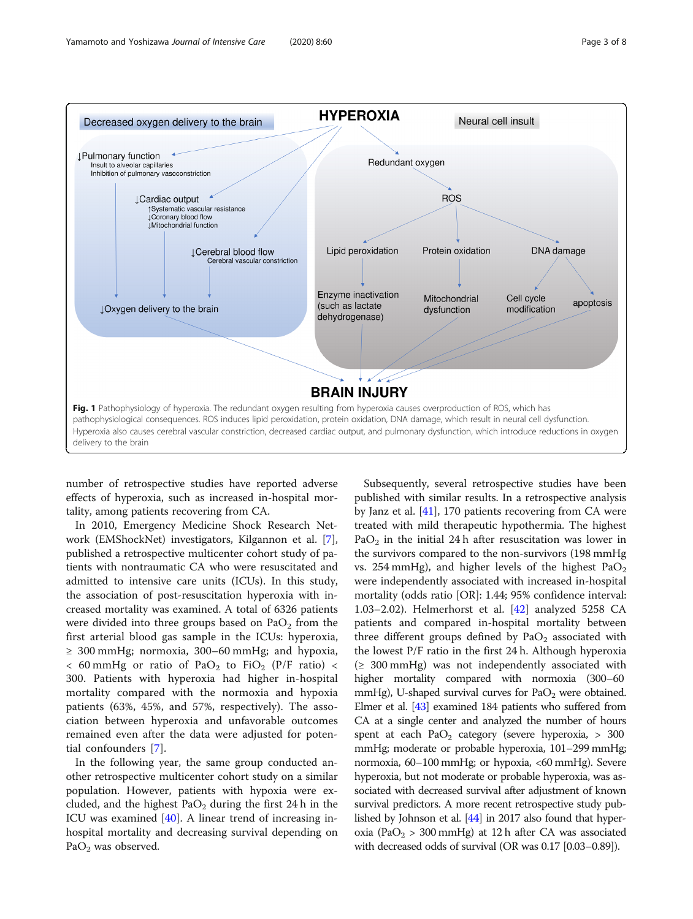<span id="page-2-0"></span>

number of retrospective studies have reported adverse effects of hyperoxia, such as increased in-hospital mortality, among patients recovering from CA.

In 2010, Emergency Medicine Shock Research Network (EMShockNet) investigators, Kilgannon et al. [\[7](#page-6-0)], published a retrospective multicenter cohort study of patients with nontraumatic CA who were resuscitated and admitted to intensive care units (ICUs). In this study, the association of post-resuscitation hyperoxia with increased mortality was examined. A total of 6326 patients were divided into three groups based on  $PaO<sub>2</sub>$  from the first arterial blood gas sample in the ICUs: hyperoxia, ≥ 300 mmHg; normoxia, 300–60 mmHg; and hypoxia,  $<$  60 mmHg or ratio of PaO<sub>2</sub> to FiO<sub>2</sub> (P/F ratio)  $<$ 300. Patients with hyperoxia had higher in-hospital mortality compared with the normoxia and hypoxia patients (63%, 45%, and 57%, respectively). The association between hyperoxia and unfavorable outcomes remained even after the data were adjusted for potential confounders [[7\]](#page-6-0).

In the following year, the same group conducted another retrospective multicenter cohort study on a similar population. However, patients with hypoxia were excluded, and the highest  $PaO<sub>2</sub>$  during the first 24 h in the ICU was examined  $[40]$  $[40]$ . A linear trend of increasing inhospital mortality and decreasing survival depending on PaO<sub>2</sub> was observed.

Subsequently, several retrospective studies have been published with similar results. In a retrospective analysis by Janz et al. [\[41\]](#page-6-0), 170 patients recovering from CA were treated with mild therapeutic hypothermia. The highest PaO<sub>2</sub> in the initial 24 h after resuscitation was lower in the survivors compared to the non-survivors (198 mmHg vs. 254 mmHg), and higher levels of the highest  $PaO<sub>2</sub>$ were independently associated with increased in-hospital mortality (odds ratio [OR]: 1.44; 95% confidence interval: 1.03–2.02). Helmerhorst et al. [[42\]](#page-6-0) analyzed 5258 CA patients and compared in-hospital mortality between three different groups defined by  $PaO<sub>2</sub>$  associated with the lowest P/F ratio in the first 24 h. Although hyperoxia  $(≥ 300 mmHg)$  was not independently associated with higher mortality compared with normoxia (300–60 mmHg), U-shaped survival curves for  $PaO<sub>2</sub>$  were obtained. Elmer et al. [[43](#page-6-0)] examined 184 patients who suffered from CA at a single center and analyzed the number of hours spent at each  $PaO<sub>2</sub>$  category (severe hyperoxia,  $> 300$ mmHg; moderate or probable hyperoxia, 101–299 mmHg; normoxia, 60–100 mmHg; or hypoxia, <60 mmHg). Severe hyperoxia, but not moderate or probable hyperoxia, was associated with decreased survival after adjustment of known survival predictors. A more recent retrospective study published by Johnson et al. [\[44\]](#page-6-0) in 2017 also found that hyperoxia (PaO<sub>2</sub> > 300 mmHg) at 12 h after CA was associated with decreased odds of survival (OR was 0.17 [0.03–0.89]).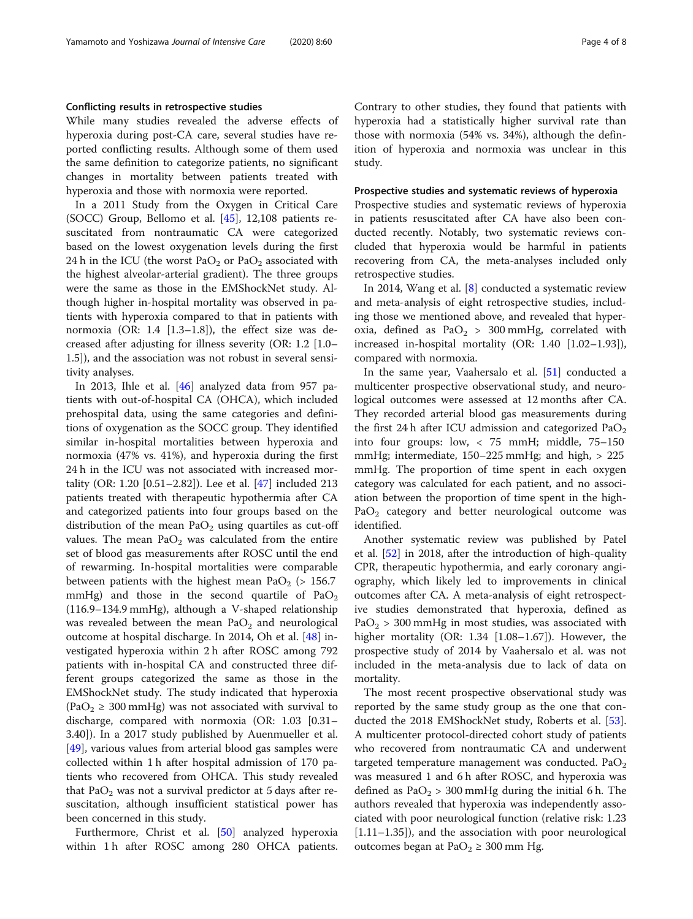#### Conflicting results in retrospective studies

While many studies revealed the adverse effects of hyperoxia during post-CA care, several studies have reported conflicting results. Although some of them used the same definition to categorize patients, no significant changes in mortality between patients treated with hyperoxia and those with normoxia were reported.

In a 2011 Study from the Oxygen in Critical Care (SOCC) Group, Bellomo et al. [\[45](#page-6-0)], 12,108 patients resuscitated from nontraumatic CA were categorized based on the lowest oxygenation levels during the first 24 h in the ICU (the worst  $PaO<sub>2</sub>$  or  $PaO<sub>2</sub>$  associated with the highest alveolar-arterial gradient). The three groups were the same as those in the EMShockNet study. Although higher in-hospital mortality was observed in patients with hyperoxia compared to that in patients with normoxia (OR: 1.4 [1.3–1.8]), the effect size was decreased after adjusting for illness severity (OR: 1.2 [1.0– 1.5]), and the association was not robust in several sensitivity analyses.

In 2013, Ihle et al. [\[46\]](#page-6-0) analyzed data from 957 patients with out-of-hospital CA (OHCA), which included prehospital data, using the same categories and definitions of oxygenation as the SOCC group. They identified similar in-hospital mortalities between hyperoxia and normoxia (47% vs. 41%), and hyperoxia during the first 24 h in the ICU was not associated with increased mortality (OR: 1.20 [0.51–2.82]). Lee et al. [\[47](#page-6-0)] included 213 patients treated with therapeutic hypothermia after CA and categorized patients into four groups based on the distribution of the mean  $PaO<sub>2</sub>$  using quartiles as cut-off values. The mean  $PaO<sub>2</sub>$  was calculated from the entire set of blood gas measurements after ROSC until the end of rewarming. In-hospital mortalities were comparable between patients with the highest mean PaO<sub>2</sub> ( $> 156.7$ ) mmHg) and those in the second quartile of  $PaO<sub>2</sub>$ (116.9–134.9 mmHg), although a V-shaped relationship was revealed between the mean  $PaO<sub>2</sub>$  and neurological outcome at hospital discharge. In 2014, Oh et al. [[48\]](#page-7-0) investigated hyperoxia within 2 h after ROSC among 792 patients with in-hospital CA and constructed three different groups categorized the same as those in the EMShockNet study. The study indicated that hyperoxia  $(PaO<sub>2</sub> \ge 300$  mmHg) was not associated with survival to discharge, compared with normoxia (OR: 1.03 [0.31– 3.40]). In a 2017 study published by Auenmueller et al.  $[49]$  $[49]$ , various values from arterial blood gas samples were collected within 1 h after hospital admission of 170 patients who recovered from OHCA. This study revealed that  $PaO<sub>2</sub>$  was not a survival predictor at 5 days after resuscitation, although insufficient statistical power has been concerned in this study.

Furthermore, Christ et al. [[50\]](#page-7-0) analyzed hyperoxia within 1 h after ROSC among 280 OHCA patients.

Contrary to other studies, they found that patients with hyperoxia had a statistically higher survival rate than those with normoxia (54% vs. 34%), although the definition of hyperoxia and normoxia was unclear in this study.

#### Prospective studies and systematic reviews of hyperoxia

Prospective studies and systematic reviews of hyperoxia in patients resuscitated after CA have also been conducted recently. Notably, two systematic reviews concluded that hyperoxia would be harmful in patients recovering from CA, the meta-analyses included only retrospective studies.

In 2014, Wang et al. [[8\]](#page-6-0) conducted a systematic review and meta-analysis of eight retrospective studies, including those we mentioned above, and revealed that hyperoxia, defined as  $PaO<sub>2</sub> > 300$  mmHg, correlated with increased in-hospital mortality (OR: 1.40 [1.02–1.93]), compared with normoxia.

In the same year, Vaahersalo et al. [[51\]](#page-7-0) conducted a multicenter prospective observational study, and neurological outcomes were assessed at 12 months after CA. They recorded arterial blood gas measurements during the first 24 h after ICU admission and categorized  $PaO<sub>2</sub>$ into four groups: low, < 75 mmH; middle, 75–150 mmHg; intermediate, 150–225 mmHg; and high, > 225 mmHg. The proportion of time spent in each oxygen category was calculated for each patient, and no association between the proportion of time spent in the high- $PaO<sub>2</sub>$  category and better neurological outcome was identified.

Another systematic review was published by Patel et al. [[52](#page-7-0)] in 2018, after the introduction of high-quality CPR, therapeutic hypothermia, and early coronary angiography, which likely led to improvements in clinical outcomes after CA. A meta-analysis of eight retrospective studies demonstrated that hyperoxia, defined as  $PaO<sub>2</sub> > 300$  mmHg in most studies, was associated with higher mortality (OR: 1.34 [1.08–1.67]). However, the prospective study of 2014 by Vaahersalo et al. was not included in the meta-analysis due to lack of data on mortality.

The most recent prospective observational study was reported by the same study group as the one that conducted the 2018 EMShockNet study, Roberts et al. [\[53](#page-7-0)]. A multicenter protocol-directed cohort study of patients who recovered from nontraumatic CA and underwent targeted temperature management was conducted.  $PaO<sub>2</sub>$ was measured 1 and 6 h after ROSC, and hyperoxia was defined as  $PaO<sub>2</sub> > 300$  mmHg during the initial 6 h. The authors revealed that hyperoxia was independently associated with poor neurological function (relative risk: 1.23 [1.11–1.35]), and the association with poor neurological outcomes began at Pa $O_2 \geq 300$  mm Hg.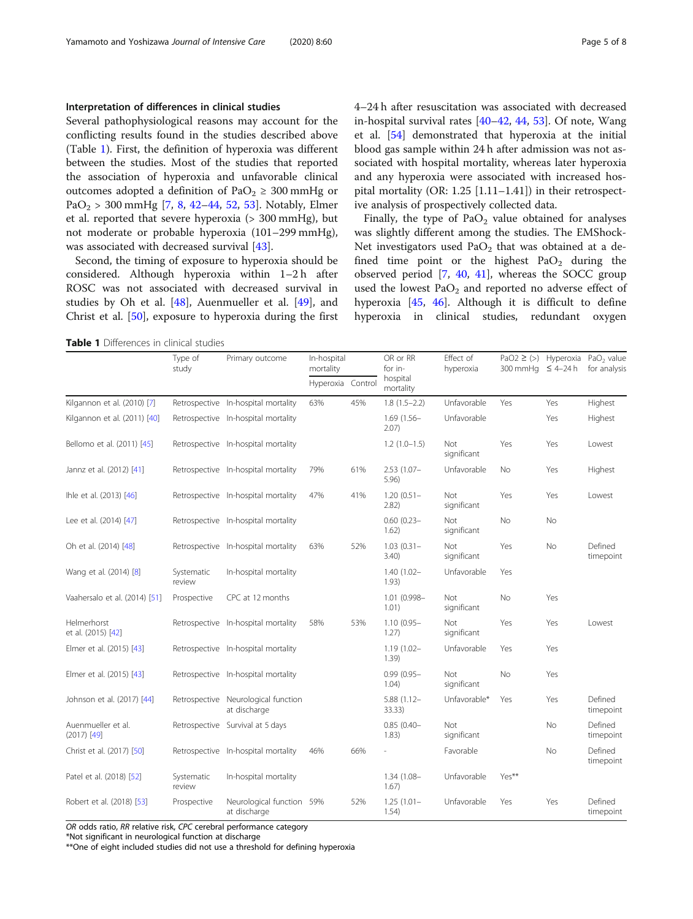#### Interpretation of differences in clinical studies

Several pathophysiological reasons may account for the conflicting results found in the studies described above (Table 1). First, the definition of hyperoxia was different between the studies. Most of the studies that reported the association of hyperoxia and unfavorable clinical outcomes adopted a definition of PaO<sub>2</sub>  $\geq$  300 mmHg or PaO<sub>2</sub> > 300 mmHg [\[7](#page-6-0), [8,](#page-6-0) [42](#page-6-0)–[44,](#page-6-0) [52](#page-7-0), [53\]](#page-7-0). Notably, Elmer et al. reported that severe hyperoxia (> 300 mmHg), but not moderate or probable hyperoxia (101–299 mmHg), was associated with decreased survival [[43\]](#page-6-0).

Second, the timing of exposure to hyperoxia should be considered. Although hyperoxia within 1–2 h after ROSC was not associated with decreased survival in studies by Oh et al. [[48\]](#page-7-0), Auenmueller et al. [[49\]](#page-7-0), and Christ et al. [[50\]](#page-7-0), exposure to hyperoxia during the first 4–24 h after resuscitation was associated with decreased in-hospital survival rates [\[40](#page-6-0)–[42,](#page-6-0) [44,](#page-6-0) [53](#page-7-0)]. Of note, Wang et al. [[54\]](#page-7-0) demonstrated that hyperoxia at the initial blood gas sample within 24 h after admission was not associated with hospital mortality, whereas later hyperoxia and any hyperoxia were associated with increased hospital mortality (OR: 1.25 [1.11–1.41]) in their retrospective analysis of prospectively collected data.

Finally, the type of  $PaO<sub>2</sub>$  value obtained for analyses was slightly different among the studies. The EMShock-Net investigators used  $PaO<sub>2</sub>$  that was obtained at a defined time point or the highest  $PaO<sub>2</sub>$  during the observed period  $[7, 40, 41]$  $[7, 40, 41]$  $[7, 40, 41]$  $[7, 40, 41]$  $[7, 40, 41]$  $[7, 40, 41]$  $[7, 40, 41]$ , whereas the SOCC group used the lowest  $PaO<sub>2</sub>$  and reported no adverse effect of hyperoxia [[45,](#page-6-0) [46\]](#page-6-0). Although it is difficult to define hyperoxia in clinical studies, redundant oxygen

Table 1 Differences in clinical studies

|                                     | Type of<br>study     | Primary outcome                                     | In-hospital<br>mortality |     | OR or RR<br>for in-     | Effect of<br>hyperoxia    | PaO2 $\ge$ (>) Hyperoxia<br>300 mmHq ≤ 4-24 h |     | PaO <sub>2</sub> value<br>for analysis |
|-------------------------------------|----------------------|-----------------------------------------------------|--------------------------|-----|-------------------------|---------------------------|-----------------------------------------------|-----|----------------------------------------|
|                                     |                      |                                                     | Hyperoxia Control        |     | hospital<br>mortality   |                           |                                               |     |                                        |
| Kilgannon et al. (2010) [7]         |                      | Retrospective In-hospital mortality                 | 63%                      | 45% | $1.8(1.5-2.2)$          | Unfavorable               | Yes                                           | Yes | Highest                                |
| Kilgannon et al. (2011) [40]        |                      | Retrospective In-hospital mortality                 |                          |     | $1.69(1.56 -$<br>2.07)  | Unfavorable               |                                               | Yes | Highest                                |
| Bellomo et al. (2011) [45]          |                      | Retrospective In-hospital mortality                 |                          |     | $1.2(1.0-1.5)$          | <b>Not</b><br>significant | Yes                                           | Yes | Lowest                                 |
| Jannz et al. (2012) [41]            |                      | Retrospective In-hospital mortality                 | 79%                      | 61% | $2.53(1.07 -$<br>5.96   | Unfavorable               | No                                            | Yes | Highest                                |
| lhle et al. (2013) [46]             |                      | Retrospective In-hospital mortality                 | 47%                      | 41% | $1.20(0.51 -$<br>2.82)  | <b>Not</b><br>significant | Yes                                           | Yes | Lowest                                 |
| Lee et al. (2014) [47]              |                      | Retrospective In-hospital mortality                 |                          |     | $0.60(0.23 -$<br>1.62)  | <b>Not</b><br>significant | No                                            | No  |                                        |
| Oh et al. (2014) [48]               |                      | Retrospective In-hospital mortality                 | 63%                      | 52% | $1.03(0.31 -$<br>3.40   | <b>Not</b><br>significant | Yes                                           | No  | Defined<br>timepoint                   |
| Wang et al. (2014) [8]              | Systematic<br>review | In-hospital mortality                               |                          |     | $1.40(1.02 -$<br>1.93)  | Unfavorable               | Yes                                           |     |                                        |
| Vaahersalo et al. (2014) [51]       | Prospective          | CPC at 12 months                                    |                          |     | 1.01 (0.998-<br>1.01)   | Not<br>significant        | No                                            | Yes |                                        |
| Helmerhorst<br>et al. (2015) [42]   |                      | Retrospective In-hospital mortality                 | 58%                      | 53% | $1.10(0.95 -$<br>1.27)  | <b>Not</b><br>significant | Yes                                           | Yes | Lowest                                 |
| Elmer et al. (2015) [43]            |                      | Retrospective In-hospital mortality                 |                          |     | $1.19(1.02 -$<br>1.39)  | Unfavorable               | Yes                                           | Yes |                                        |
| Elmer et al. (2015) [43]            |                      | Retrospective In-hospital mortality                 |                          |     | $0.99(0.95 -$<br>1.04)  | Not<br>significant        | No                                            | Yes |                                        |
| Johnson et al. (2017) [44]          |                      | Retrospective Neurological function<br>at discharge |                          |     | $5.88(1.12 -$<br>33.33) | Unfavorable*              | Yes                                           | Yes | Defined<br>timepoint                   |
| Auenmueller et al.<br>$(2017)$ [49] |                      | Retrospective Survival at 5 days                    |                          |     | $0.85(0.40 -$<br>1.83)  | Not<br>significant        |                                               | No  | Defined<br>timepoint                   |
| Christ et al. (2017) [50]           |                      | Retrospective In-hospital mortality                 | 46%                      | 66% |                         | Favorable                 |                                               | No  | Defined<br>timepoint                   |
| Patel et al. (2018) [52]            | Systematic<br>review | In-hospital mortality                               |                          |     | 1.34 (1.08-<br>1.67)    | Unfavorable               | Yes**                                         |     |                                        |
| Robert et al. (2018) [53]           | Prospective          | Neurological function 59%<br>at discharge           |                          | 52% | $1.25(1.01 -$<br>1.54)  | Unfavorable               | Yes                                           | Yes | Defined<br>timepoint                   |

OR odds ratio, RR relative risk, CPC cerebral performance category

\*Not significant in neurological function at discharge

\*\*One of eight included studies did not use a threshold for defining hyperoxia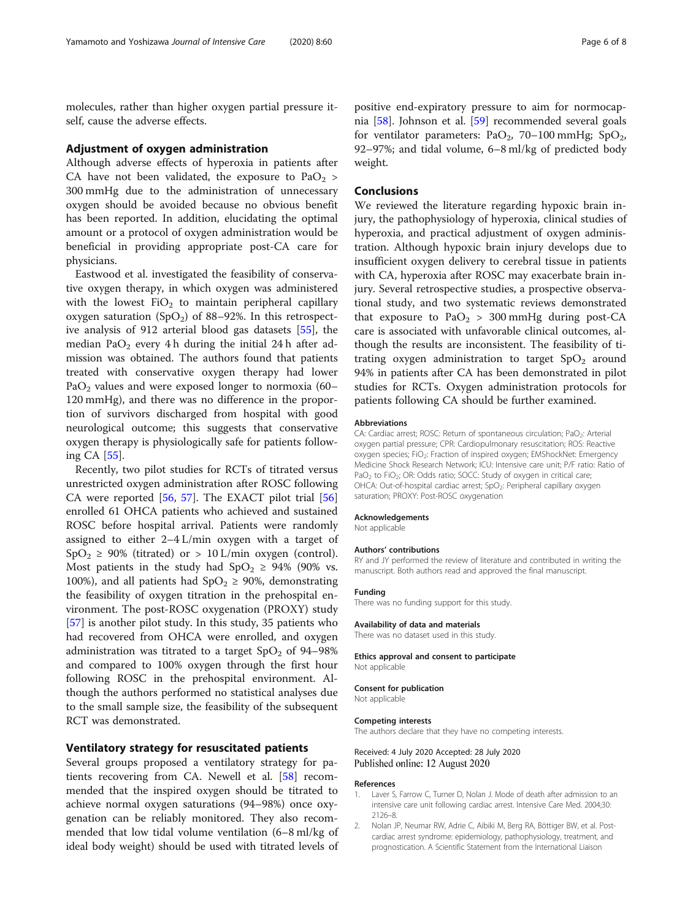<span id="page-5-0"></span>molecules, rather than higher oxygen partial pressure itself, cause the adverse effects.

#### Adjustment of oxygen administration

Although adverse effects of hyperoxia in patients after CA have not been validated, the exposure to  $PaO<sub>2</sub>$  > 300 mmHg due to the administration of unnecessary oxygen should be avoided because no obvious benefit has been reported. In addition, elucidating the optimal amount or a protocol of oxygen administration would be beneficial in providing appropriate post-CA care for physicians.

Eastwood et al. investigated the feasibility of conservative oxygen therapy, in which oxygen was administered with the lowest  $FiO<sub>2</sub>$  to maintain peripheral capillary oxygen saturation  $(SpO<sub>2</sub>)$  of 88–92%. In this retrospective analysis of 912 arterial blood gas datasets [\[55\]](#page-7-0), the median PaO<sub>2</sub> every 4 h during the initial 24 h after admission was obtained. The authors found that patients treated with conservative oxygen therapy had lower PaO<sub>2</sub> values and were exposed longer to normoxia  $(60-$ 120 mmHg), and there was no difference in the proportion of survivors discharged from hospital with good neurological outcome; this suggests that conservative oxygen therapy is physiologically safe for patients following CA [[55\]](#page-7-0).

Recently, two pilot studies for RCTs of titrated versus unrestricted oxygen administration after ROSC following CA were reported  $[56, 57]$  $[56, 57]$  $[56, 57]$  $[56, 57]$  $[56, 57]$ . The EXACT pilot trial  $[56]$ enrolled 61 OHCA patients who achieved and sustained ROSC before hospital arrival. Patients were randomly assigned to either 2–4 L/min oxygen with a target of  $SpO<sub>2</sub> \ge 90\%$  (titrated) or  $> 10$  L/min oxygen (control). Most patients in the study had  $SpO<sub>2</sub> \ge 94\%$  (90% vs. 100%), and all patients had  $SpO<sub>2</sub> \ge 90$ %, demonstrating the feasibility of oxygen titration in the prehospital environment. The post-ROSC oxygenation (PROXY) study [[57\]](#page-7-0) is another pilot study. In this study, 35 patients who had recovered from OHCA were enrolled, and oxygen administration was titrated to a target  $SpO<sub>2</sub>$  of 94–98% and compared to 100% oxygen through the first hour following ROSC in the prehospital environment. Although the authors performed no statistical analyses due to the small sample size, the feasibility of the subsequent RCT was demonstrated.

#### Ventilatory strategy for resuscitated patients

Several groups proposed a ventilatory strategy for patients recovering from CA. Newell et al. [[58\]](#page-7-0) recommended that the inspired oxygen should be titrated to achieve normal oxygen saturations (94–98%) once oxygenation can be reliably monitored. They also recommended that low tidal volume ventilation (6–8 ml/kg of ideal body weight) should be used with titrated levels of

positive end-expiratory pressure to aim for normocapnia [\[58\]](#page-7-0). Johnson et al. [\[59](#page-7-0)] recommended several goals for ventilator parameters: PaO<sub>2</sub>, 70–100 mmHg; SpO<sub>2</sub>, 92–97%; and tidal volume, 6–8 ml/kg of predicted body weight.

#### **Conclusions**

We reviewed the literature regarding hypoxic brain injury, the pathophysiology of hyperoxia, clinical studies of hyperoxia, and practical adjustment of oxygen administration. Although hypoxic brain injury develops due to insufficient oxygen delivery to cerebral tissue in patients with CA, hyperoxia after ROSC may exacerbate brain injury. Several retrospective studies, a prospective observational study, and two systematic reviews demonstrated that exposure to  $PaO<sub>2</sub> > 300$  mmHg during post-CA care is associated with unfavorable clinical outcomes, although the results are inconsistent. The feasibility of titrating oxygen administration to target  $SpO<sub>2</sub>$  around 94% in patients after CA has been demonstrated in pilot studies for RCTs. Oxygen administration protocols for patients following CA should be further examined.

#### Abbreviations

CA: Cardiac arrest; ROSC: Return of spontaneous circulation; PaO<sub>2</sub>: Arterial oxygen partial pressure; CPR: Cardiopulmonary resuscitation; ROS: Reactive oxygen species; FiO<sub>2</sub>: Fraction of inspired oxygen; EMShockNet: Emergency Medicine Shock Research Network; ICU: Intensive care unit; P/F ratio: Ratio of PaO<sub>2</sub> to FiO<sub>2</sub>; OR: Odds ratio; SOCC: Study of oxygen in critical care; OHCA: Out-of-hospital cardiac arrest; SpO<sub>2</sub>: Peripheral capillary oxygen saturation; PROXY: Post-ROSC oxygenation

#### Acknowledgements

Not applicable

#### Authors' contributions

RY and JY performed the review of literature and contributed in writing the manuscript. Both authors read and approved the final manuscript.

#### Funding

There was no funding support for this study.

#### Availability of data and materials

There was no dataset used in this study.

#### Ethics approval and consent to participate Not applicable

Consent for publication Not applicable

#### Competing interests

The authors declare that they have no competing interests.

#### Received: 4 July 2020 Accepted: 28 July 2020 Published online: 12 August 2020

#### References

- Laver S, Farrow C, Turner D, Nolan J. Mode of death after admission to an intensive care unit following cardiac arrest. Intensive Care Med. 2004;30: 2126–8.
- 2. Nolan JP, Neumar RW, Adrie C, Aibiki M, Berg RA, Böttiger BW, et al. Postcardiac arrest syndrome: epidemiology, pathophysiology, treatment, and prognostication. A Scientific Statement from the International Liaison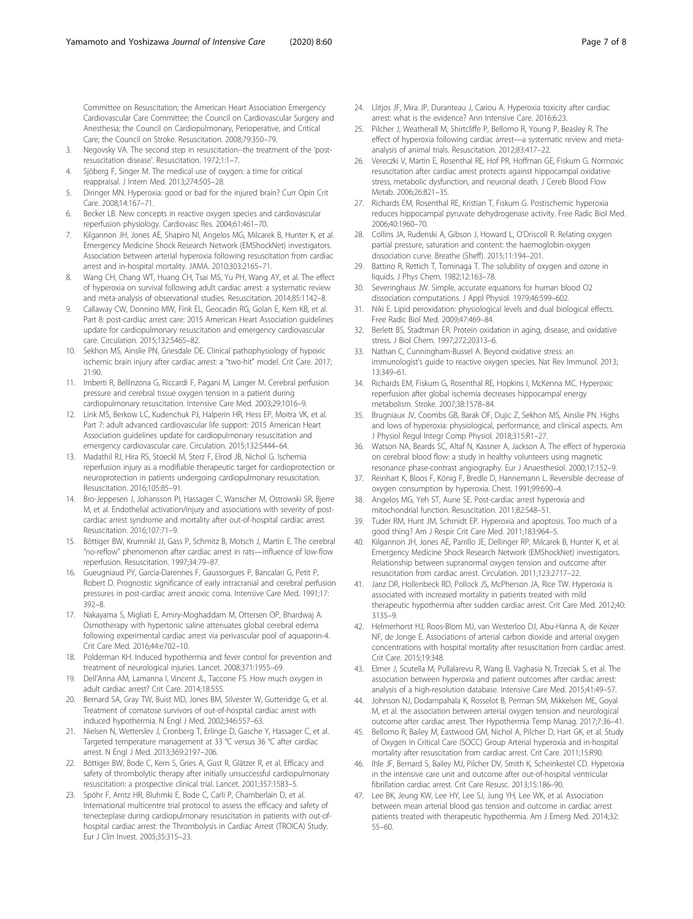<span id="page-6-0"></span>Committee on Resuscitation; the American Heart Association Emergency Cardiovascular Care Committee; the Council on Cardiovascular Surgery and Anesthesia; the Council on Cardiopulmonary, Perioperative, and Critical Care; the Council on Stroke. Resuscitation. 2008;79:350–79.

- 3. Negovsky VA. The second step in resuscitation--the treatment of the 'postresuscitation disease'. Resuscitation. 1972;1:1–7.
- 4. Sjöberg F, Singer M. The medical use of oxygen: a time for critical reappraisal. J Intern Med. 2013;274:505–28.
- 5. Diringer MN. Hyperoxia: good or bad for the injured brain? Curr Opin Crit Care. 2008;14:167–71.
- 6. Becker LB. New concepts in reactive oxygen species and cardiovascular reperfusion physiology. Cardiovasc Res. 2004;61:461–70.
- 7. Kilgannon JH, Jones AE, Shapiro NI, Angelos MG, Milcarek B, Hunter K, et al. Emergency Medicine Shock Research Network (EMShockNet) investigators. Association between arterial hyperoxia following resuscitation from cardiac arrest and in-hospital mortality. JAMA. 2010;303:2165–71.
- 8. Wang CH, Chang WT, Huang CH, Tsai MS, Yu PH, Wang AY, et al. The effect of hyperoxia on survival following adult cardiac arrest: a systematic review and meta-analysis of observational studies. Resuscitation. 2014;85:1142–8.
- 9. Callaway CW, Donnino MW, Fink EL, Geocadin RG, Golan E, Kern KB, et al. Part 8: post-cardiac arrest care: 2015 American Heart Association guidelines update for cardiopulmonary resuscitation and emergency cardiovascular care. Circulation. 2015;132:S465–82.
- 10. Sekhon MS, Ainslie PN, Griesdale DE. Clinical pathophysiology of hypoxic ischemic brain injury after cardiac arrest: a "two-hit" model. Crit Care. 2017; 21:90.
- 11. Imberti R, Bellinzona G, Riccardi F, Pagani M, Langer M. Cerebral perfusion pressure and cerebral tissue oxygen tension in a patient during cardiopulmonary resuscitation. Intensive Care Med. 2003;29:1016–9.
- 12. Link MS, Berkow LC, Kudenchuk PJ, Halperin HR, Hess EP, Moitra VK, et al. Part 7: adult advanced cardiovascular life support: 2015 American Heart Association guidelines update for cardiopulmonary resuscitation and emergency cardiovascular care. Circulation. 2015;132:S444–64.
- 13. Madathil RJ, Hira RS, Stoeckl M, Sterz F, Elrod JB, Nichol G. Ischemia reperfusion injury as a modifiable therapeutic target for cardioprotection or neuroprotection in patients undergoing cardiopulmonary resuscitation. Resuscitation. 2016;105:85–91.
- 14. Bro-Jeppesen J, Johansson PI, Hassager C, Wanscher M, Ostrowski SR, Bjerre M, et al. Endothelial activation/injury and associations with severity of postcardiac arrest syndrome and mortality after out-of-hospital cardiac arrest. Resuscitation. 2016;107:71–9.
- 15. Böttiger BW, Krumnikl JJ, Gass P, Schmitz B, Motsch J, Martin E. The cerebral "no-reflow" phenomenon after cardiac arrest in rats—influence of low-flow reperfusion. Resuscitation. 1997;34:79–87.
- 16. Gueugniaud PY, Garcia-Darennes F, Gaussorgues P, Bancalari G, Petit P, Robert D. Prognostic significance of early intracranial and cerebral perfusion pressures in post-cardiac arrest anoxic coma. Intensive Care Med. 1991;17: 392–8.
- 17. Nakayama S, Migliati E, Amiry-Moghaddam M, Ottersen OP, Bhardwaj A. Osmotherapy with hypertonic saline attenuates global cerebral edema following experimental cardiac arrest via perivascular pool of aquaporin-4. Crit Care Med. 2016;44:e702–10.
- 18. Polderman KH. Induced hypothermia and fever control for prevention and treatment of neurological injuries. Lancet. 2008;371:1955–69.
- 19. Dell'Anna AM, Lamanna I, Vincent JL, Taccone FS. How much oxygen in adult cardiac arrest? Crit Care. 2014;18:555.
- 20. Bernard SA, Gray TW, Buist MD, Jones BM, Silvester W, Gutteridge G, et al. Treatment of comatose survivors of out-of-hospital cardiac arrest with induced hypothermia. N Engl J Med. 2002;346:557–63.
- 21. Nielsen N, Wetterslev J, Cronberg T, Erlinge D, Gasche Y, Hassager C, et al. Targeted temperature management at 33 °C versus 36 °C after cardiac arrest. N Engl J Med. 2013;369:2197–206.
- 22. Böttiger BW, Bode C, Kern S, Gries A, Gust R, Glätzer R, et al. Efficacy and safety of thrombolytic therapy after initially unsuccessful cardiopulmonary resuscitation: a prospective clinical trial. Lancet. 2001;357:1583–5.
- 23. Spöhr F, Arntz HR, Bluhmki E, Bode C, Carli P, Chamberlain D, et al. International multicentre trial protocol to assess the efficacy and safety of tenecteplase during cardiopulmonary resuscitation in patients with out-ofhospital cardiac arrest: the Thrombolysis in Cardiac Arrest (TROICA) Study. Eur J Clin Invest. 2005;35:315–23.
- 24. Llitjos JF, Mira JP, Duranteau J, Cariou A. Hyperoxia toxicity after cardiac arrest: what is the evidence? Ann Intensive Care. 2016;6:23.
- 25. Pilcher J, Weatherall M, Shirtcliffe P, Bellomo R, Young P, Beasley R. The effect of hyperoxia following cardiac arrest—a systematic review and metaanalysis of animal trials. Resuscitation. 2012;83:417–22.
- 26. Vereczki V, Martin E, Rosenthal RE, Hof PR, Hoffman GE, Fiskum G. Normoxic resuscitation after cardiac arrest protects against hippocampal oxidative stress, metabolic dysfunction, and neuronal death. J Cereb Blood Flow Metab. 2006;26:821–35.
- 27. Richards EM, Rosenthal RE, Kristian T, Fiskum G. Postischemic hyperoxia reduces hippocampal pyruvate dehydrogenase activity. Free Radic Biol Med. 2006;40:1960–70.
- 28. Collins JA, Rudenski A, Gibson J, Howard L, O'Driscoll R. Relating oxygen partial pressure, saturation and content: the haemoglobin-oxygen dissociation curve. Breathe (Sheff). 2015;11:194–201.
- 29. Battino R, Rettich T, Tominaga T. The solubility of oxygen and ozone in liquids. J Phys Chem. 1982;12:163–78.
- 30. Severinghaus JW. Simple, accurate equations for human blood O2 dissociation computations. J Appl Physiol. 1979;46:599–602.
- 31. Niki E. Lipid peroxidation: physiological levels and dual biological effects. Free Radic Biol Med. 2009;47:469–84.
- 32. Berlett BS, Stadtman ER. Protein oxidation in aging, disease, and oxidative stress. J Biol Chem. 1997;272:20313–6.
- 33. Nathan C, Cunningham-Bussel A. Beyond oxidative stress: an immunologist's guide to reactive oxygen species. Nat Rev Immunol. 2013; 13:349–61.
- 34. Richards EM, Fiskum G, Rosenthal RE, Hopkins I, McKenna MC. Hyperoxic reperfusion after global ischemia decreases hippocampal energy metabolism. Stroke. 2007;38:1578–84.
- 35. Brugniaux JV, Coombs GB, Barak OF, Dujic Z, Sekhon MS, Ainslie PN. Highs and lows of hyperoxia: physiological, performance, and clinical aspects. Am J Physiol Regul Integr Comp Physiol. 2018;315:R1–27.
- 36. Watson NA, Beards SC, Altaf N, Kassner A, Jackson A. The effect of hyperoxia on cerebral blood flow: a study in healthy volunteers using magnetic resonance phase-contrast angiography. Eur J Anaesthesiol. 2000;17:152–9.
- 37. Reinhart K, Bloos F, König F, Bredle D, Hannemann L. Reversible decrease of oxygen consumption by hyperoxia. Chest. 1991;99:690–4.
- 38. Angelos MG, Yeh ST, Aune SE. Post-cardiac arrest hyperoxia and mitochondrial function. Resuscitation. 2011;82:S48–51.
- Tuder RM, Hunt JM, Schmidt EP. Hyperoxia and apoptosis. Too much of a good thing? Am J Respir Crit Care Med. 2011;183:964–5.
- 40. Kilgannon JH, Jones AE, Parrillo JE, Dellinger RP, Milcarek B, Hunter K, et al. Emergency Medicine Shock Research Network (EMShockNet) investigators. Relationship between supranormal oxygen tension and outcome after resuscitation from cardiac arrest. Circulation. 2011;123:2717–22.
- 41. Janz DR, Hollenbeck RD, Pollock JS, McPherson JA, Rice TW. Hyperoxia is associated with increased mortality in patients treated with mild therapeutic hypothermia after sudden cardiac arrest. Crit Care Med. 2012;40: 3135–9.
- 42. Helmerhorst HJ, Roos-Blom MJ, van Westerloo DJ, Abu-Hanna A, de Keizer NF, de Jonge E. Associations of arterial carbon dioxide and arterial oxygen concentrations with hospital mortality after resuscitation from cardiac arrest. Crit Care. 2015;19:348.
- 43. Elmer J, Scutella M, Pullalarevu R, Wang B, Vaghasia N, Trzeciak S, et al. The association between hyperoxia and patient outcomes after cardiac arrest: analysis of a high-resolution database. Intensive Care Med. 2015;41:49–57.
- 44. Johnson NJ, Dodampahala K, Rosselot B, Perman SM, Mikkelsen ME, Goyal M, et al. the association between arterial oxygen tension and neurological outcome after cardiac arrest. Ther Hypothermia Temp Manag. 2017;7:36–41.
- 45. Bellomo R, Bailey M, Eastwood GM, Nichol A, Pilcher D, Hart GK, et al. Study of Oxygen in Critical Care (SOCC) Group Arterial hyperoxia and in-hospital mortality after resuscitation from cardiac arrest. Crit Care. 2011;15:R90.
- 46. Ihle JF, Bernard S, Bailey MJ, Pilcher DV, Smith K, Scheinkestel CD. Hyperoxia in the intensive care unit and outcome after out-of-hospital ventricular fibrillation cardiac arrest. Crit Care Resusc. 2013;15:186–90.
- 47. Lee BK, Jeung KW, Lee HY, Lee SJ, Jung YH, Lee WK, et al. Association between mean arterial blood gas tension and outcome in cardiac arrest patients treated with therapeutic hypothermia. Am J Emerg Med. 2014;32: 55–60.